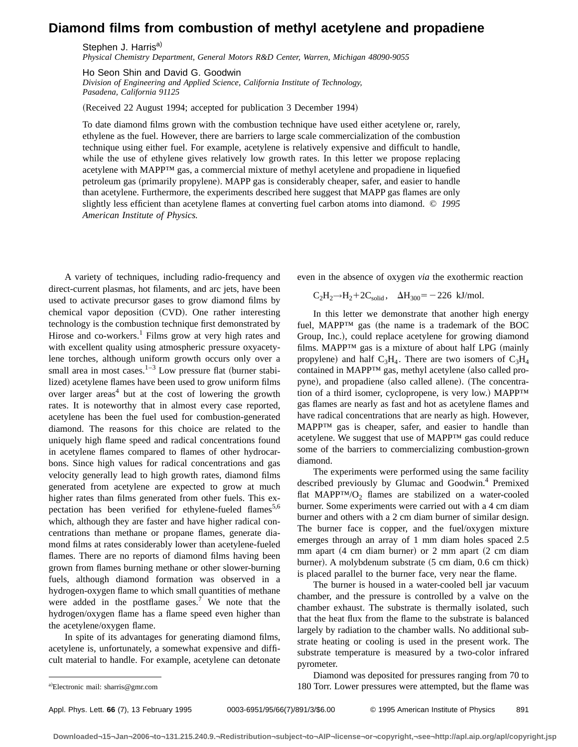## **Diamond films from combustion of methyl acetylene and propadiene**

Stephen J. Harris<sup>a)</sup>

*Physical Chemistry Department, General Motors R&D Center, Warren, Michigan 48090-9055*

Ho Seon Shin and David G. Goodwin

*Division of Engineering and Applied Science, California Institute of Technology, Pasadena, California 91125*

(Received 22 August 1994; accepted for publication 3 December 1994)

To date diamond films grown with the combustion technique have used either acetylene or, rarely, ethylene as the fuel. However, there are barriers to large scale commercialization of the combustion technique using either fuel. For example, acetylene is relatively expensive and difficult to handle, while the use of ethylene gives relatively low growth rates. In this letter we propose replacing acetylene with MAPP™ gas, a commercial mixture of methyl acetylene and propadiene in liquefied petroleum gas (primarily propylene). MAPP gas is considerably cheaper, safer, and easier to handle than acetylene. Furthermore, the experiments described here suggest that MAPP gas flames are only slightly less efficient than acetylene flames at converting fuel carbon atoms into diamond. © *1995 American Institute of Physics.*

A variety of techniques, including radio-frequency and direct-current plasmas, hot filaments, and arc jets, have been used to activate precursor gases to grow diamond films by chemical vapor deposition (CVD). One rather interesting technology is the combustion technique first demonstrated by Hirose and co-workers.<sup>1</sup> Films grow at very high rates and with excellent quality using atmospheric pressure oxyacetylene torches, although uniform growth occurs only over a small area in most cases.<sup>1–3</sup> Low pressure flat (burner stabilized) acetylene flames have been used to grow uniform films over larger areas<sup>4</sup> but at the cost of lowering the growth rates. It is noteworthy that in almost every case reported, acetylene has been the fuel used for combustion-generated diamond. The reasons for this choice are related to the uniquely high flame speed and radical concentrations found in acetylene flames compared to flames of other hydrocarbons. Since high values for radical concentrations and gas velocity generally lead to high growth rates, diamond films generated from acetylene are expected to grow at much higher rates than films generated from other fuels. This expectation has been verified for ethylene-fueled flames<sup>5,6</sup> which, although they are faster and have higher radical concentrations than methane or propane flames, generate diamond films at rates considerably lower than acetylene-fueled flames. There are no reports of diamond films having been grown from flames burning methane or other slower-burning fuels, although diamond formation was observed in a hydrogen-oxygen flame to which small quantities of methane were added in the postflame gases.<sup>7</sup> We note that the hydrogen/oxygen flame has a flame speed even higher than the acetylene/oxygen flame.

In spite of its advantages for generating diamond films, acetylene is, unfortunately, a somewhat expensive and difficult material to handle. For example, acetylene can detonate even in the absence of oxygen *via* the exothermic reaction

$$
C_2H_2 \rightarrow H_2 + 2C_{solid}, \quad \Delta H_{300} = -226 \text{ kJ/mol}.
$$

In this letter we demonstrate that another high energy fuel,  $MAPP<sup>TM</sup>$  gas (the name is a trademark of the BOC Group, Inc.), could replace acetylene for growing diamond films. MAPP<sup>TM</sup> gas is a mixture of about half LPG (mainly propylene) and half  $C_3H_4$ . There are two isomers of  $C_3H_4$ contained in  $MAPP^{TM}$  gas, methyl acetylene (also called propyne), and propadiene (also called allene). (The concentration of a third isomer, cyclopropene, is very low.) MAPP<sup>TM</sup> gas flames are nearly as fast and hot as acetylene flames and have radical concentrations that are nearly as high. However, MAPP™ gas is cheaper, safer, and easier to handle than acetylene. We suggest that use of MAPP™ gas could reduce some of the barriers to commercializing combustion-grown diamond.

The experiments were performed using the same facility described previously by Glumac and Goodwin.4 Premixed flat MAPP™/O<sub>2</sub> flames are stabilized on a water-cooled burner. Some experiments were carried out with a 4 cm diam burner and others with a 2 cm diam burner of similar design. The burner face is copper, and the fuel/oxygen mixture emerges through an array of 1 mm diam holes spaced 2.5 mm apart  $(4 \text{ cm } \text{diam} \text{ burner})$  or  $2 \text{ mm } \text{apart}$   $(2 \text{ cm } \text{diam} \text{ )}$ burner). A molybdenum substrate  $(5 \text{ cm } \text{diam}, 0.6 \text{ cm } \text{thick})$ is placed parallel to the burner face, very near the flame.

The burner is housed in a water-cooled bell jar vacuum chamber, and the pressure is controlled by a valve on the chamber exhaust. The substrate is thermally isolated, such that the heat flux from the flame to the substrate is balanced largely by radiation to the chamber walls. No additional substrate heating or cooling is used in the present work. The substrate temperature is measured by a two-color infrared pyrometer.

Diamond was deposited for pressures ranging from 70 to 180 Torr. Lower pressures were attempted, but the flame was

Electronic mail: sharris@gmr.com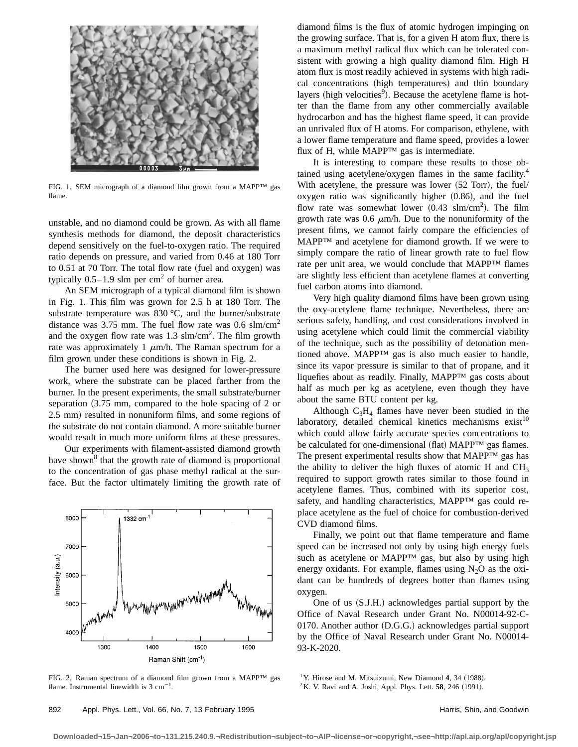

FIG. 1. SEM micrograph of a diamond film grown from a MAPP™ gas flame.

unstable, and no diamond could be grown. As with all flame synthesis methods for diamond, the deposit characteristics depend sensitively on the fuel-to-oxygen ratio. The required ratio depends on pressure, and varied from 0.46 at 180 Torr to  $0.51$  at  $70$  Torr. The total flow rate (fuel and oxygen) was typically  $0.5-1.9$  slm per cm<sup>2</sup> of burner area.

An SEM micrograph of a typical diamond film is shown in Fig. 1. This film was grown for 2.5 h at 180 Torr. The substrate temperature was 830 °C, and the burner/substrate distance was 3.75 mm. The fuel flow rate was  $0.6 \text{ sim/cm}^2$ and the oxygen flow rate was  $1.3 \text{ sim/cm}^2$ . The film growth rate was approximately 1  $\mu$ m/h. The Raman spectrum for a film grown under these conditions is shown in Fig. 2.

The burner used here was designed for lower-pressure work, where the substrate can be placed farther from the burner. In the present experiments, the small substrate/burner separation  $(3.75 \text{ mm})$ , compared to the hole spacing of 2 or 2.5 mm) resulted in nonuniform films, and some regions of the substrate do not contain diamond. A more suitable burner would result in much more uniform films at these pressures.

Our experiments with filament-assisted diamond growth have shown<sup>8</sup> that the growth rate of diamond is proportional to the concentration of gas phase methyl radical at the surface. But the factor ultimately limiting the growth rate of



FIG. 2. Raman spectrum of a diamond film grown from a MAPP™ gas flame. Instrumental linewidth is  $3 \text{ cm}^{-1}$ .

diamond films is the flux of atomic hydrogen impinging on the growing surface. That is, for a given H atom flux, there is a maximum methyl radical flux which can be tolerated consistent with growing a high quality diamond film. High H atom flux is most readily achieved in systems with high radical concentrations (high temperatures) and thin boundary layers (high velocities<sup>9</sup>). Because the acetylene flame is hotter than the flame from any other commercially available hydrocarbon and has the highest flame speed, it can provide an unrivaled flux of H atoms. For comparison, ethylene, with a lower flame temperature and flame speed, provides a lower flux of H, while MAPP™ gas is intermediate.

It is interesting to compare these results to those obtained using acetylene/oxygen flames in the same facility.4 With acetylene, the pressure was lower  $(52$  Torr), the fuel/ oxygen ratio was significantly higher  $(0.86)$ , and the fuel flow rate was somewhat lower  $(0.43 \text{ s/m/cm}^2)$ . The film growth rate was 0.6  $\mu$ m/h. Due to the nonuniformity of the present films, we cannot fairly compare the efficiencies of MAPP™ and acetylene for diamond growth. If we were to simply compare the ratio of linear growth rate to fuel flow rate per unit area, we would conclude that MAPP™ flames are slightly less efficient than acetylene flames at converting fuel carbon atoms into diamond.

Very high quality diamond films have been grown using the oxy-acetylene flame technique. Nevertheless, there are serious safety, handling, and cost considerations involved in using acetylene which could limit the commercial viability of the technique, such as the possibility of detonation mentioned above. MAPP™ gas is also much easier to handle, since its vapor pressure is similar to that of propane, and it liquefies about as readily. Finally, MAPP™ gas costs about half as much per kg as acetylene, even though they have about the same BTU content per kg.

Although  $C_3H_4$  flames have never been studied in the laboratory, detailed chemical kinetics mechanisms exist $10$ which could allow fairly accurate species concentrations to be calculated for one-dimensional (flat)  $MAPP^{TM}$  gas flames. The present experimental results show that MAPP™ gas has the ability to deliver the high fluxes of atomic H and  $CH<sub>3</sub>$ required to support growth rates similar to those found in acetylene flames. Thus, combined with its superior cost, safety, and handling characteristics, MAPP™ gas could replace acetylene as the fuel of choice for combustion-derived CVD diamond films.

Finally, we point out that flame temperature and flame speed can be increased not only by using high energy fuels such as acetylene or MAPP<sup>™</sup> gas, but also by using high energy oxidants. For example, flames using  $N_2O$  as the oxidant can be hundreds of degrees hotter than flames using oxygen.

One of us (S.J.H.) acknowledges partial support by the Office of Naval Research under Grant No. N00014-92-C-0170. Another author (D.G.G.) acknowledges partial support by the Office of Naval Research under Grant No. N00014- 93-K-2020.

<sup>1</sup> Y. Hirose and M. Mitsuizumi, New Diamond 4, 34 (1988).

 $2 K$ . V. Ravi and A. Joshi, Appl. Phys. Lett. **58**, 246 (1991).